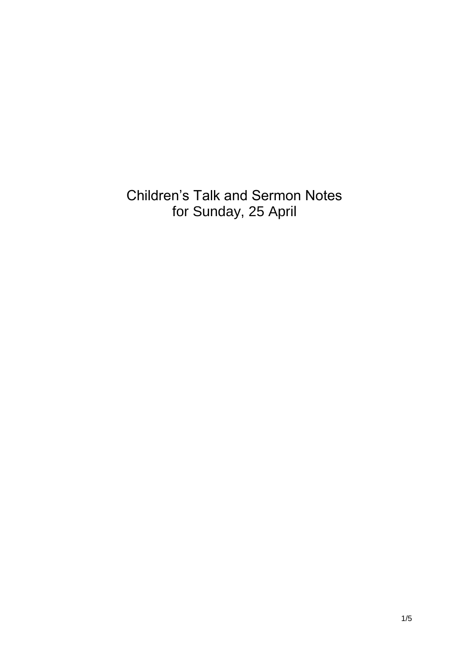Children's Talk and Sermon Notes for Sunday, 25 April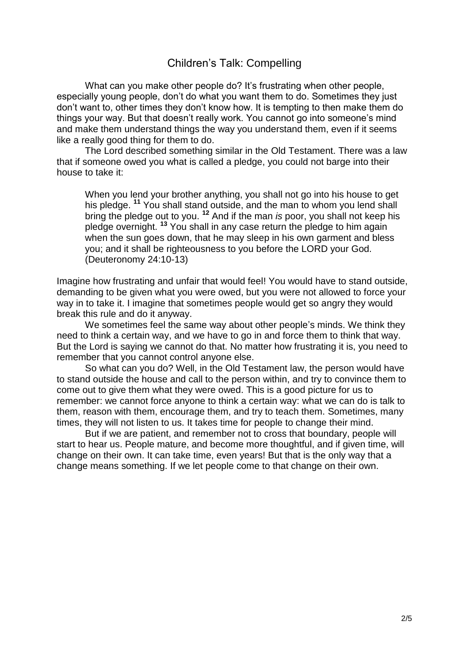## Children's Talk: Compelling

What can you make other people do? It's frustrating when other people, especially young people, don't do what you want them to do. Sometimes they just don't want to, other times they don't know how. It is tempting to then make them do things your way. But that doesn't really work. You cannot go into someone's mind and make them understand things the way you understand them, even if it seems like a really good thing for them to do.

The Lord described something similar in the Old Testament. There was a law that if someone owed you what is called a pledge, you could not barge into their house to take it:

When you lend your brother anything, you shall not go into his house to get his pledge. **<sup>11</sup>** You shall stand outside, and the man to whom you lend shall bring the pledge out to you. **<sup>12</sup>** And if the man *is* poor, you shall not keep his pledge overnight. **<sup>13</sup>** You shall in any case return the pledge to him again when the sun goes down, that he may sleep in his own garment and bless you; and it shall be righteousness to you before the LORD your God. (Deuteronomy 24:10-13)

Imagine how frustrating and unfair that would feel! You would have to stand outside, demanding to be given what you were owed, but you were not allowed to force your way in to take it. I imagine that sometimes people would get so angry they would break this rule and do it anyway.

We sometimes feel the same way about other people's minds. We think they need to think a certain way, and we have to go in and force them to think that way. But the Lord is saying we cannot do that. No matter how frustrating it is, you need to remember that you cannot control anyone else.

So what can you do? Well, in the Old Testament law, the person would have to stand outside the house and call to the person within, and try to convince them to come out to give them what they were owed. This is a good picture for us to remember: we cannot force anyone to think a certain way: what we can do is talk to them, reason with them, encourage them, and try to teach them. Sometimes, many times, they will not listen to us. It takes time for people to change their mind.

But if we are patient, and remember not to cross that boundary, people will start to hear us. People mature, and become more thoughtful, and if given time, will change on their own. It can take time, even years! But that is the only way that a change means something. If we let people come to that change on their own.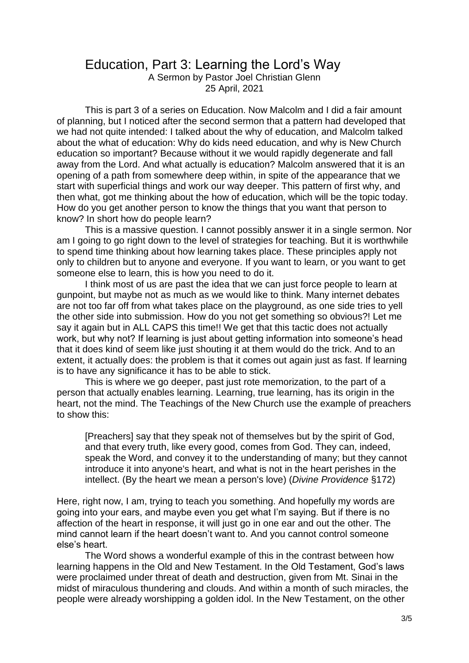## Education, Part 3: Learning the Lord's Way

A Sermon by Pastor Joel Christian Glenn 25 April, 2021

This is part 3 of a series on Education. Now Malcolm and I did a fair amount of planning, but I noticed after the second sermon that a pattern had developed that we had not quite intended: I talked about the why of education, and Malcolm talked about the what of education: Why do kids need education, and why is New Church education so important? Because without it we would rapidly degenerate and fall away from the Lord. And what actually is education? Malcolm answered that it is an opening of a path from somewhere deep within, in spite of the appearance that we start with superficial things and work our way deeper. This pattern of first why, and then what, got me thinking about the how of education, which will be the topic today. How do you get another person to know the things that you want that person to know? In short how do people learn?

This is a massive question. I cannot possibly answer it in a single sermon. Nor am I going to go right down to the level of strategies for teaching. But it is worthwhile to spend time thinking about how learning takes place. These principles apply not only to children but to anyone and everyone. If you want to learn, or you want to get someone else to learn, this is how you need to do it.

I think most of us are past the idea that we can just force people to learn at gunpoint, but maybe not as much as we would like to think. Many internet debates are not too far off from what takes place on the playground, as one side tries to yell the other side into submission. How do you not get something so obvious?! Let me say it again but in ALL CAPS this time!! We get that this tactic does not actually work, but why not? If learning is just about getting information into someone's head that it does kind of seem like just shouting it at them would do the trick. And to an extent, it actually does: the problem is that it comes out again just as fast. If learning is to have any significance it has to be able to stick.

This is where we go deeper, past just rote memorization, to the part of a person that actually enables learning. Learning, true learning, has its origin in the heart, not the mind. The Teachings of the New Church use the example of preachers to show this:

[Preachers] say that they speak not of themselves but by the spirit of God, and that every truth, like every good, comes from God. They can, indeed, speak the Word, and convey it to the understanding of many; but they cannot introduce it into anyone's heart, and what is not in the heart perishes in the intellect. (By the heart we mean a person's love) (*Divine Providence* §172)

Here, right now, I am, trying to teach you something. And hopefully my words are going into your ears, and maybe even you get what I'm saying. But if there is no affection of the heart in response, it will just go in one ear and out the other. The mind cannot learn if the heart doesn't want to. And you cannot control someone else's heart.

The Word shows a wonderful example of this in the contrast between how learning happens in the Old and New Testament. In the Old Testament, God's laws were proclaimed under threat of death and destruction, given from Mt. Sinai in the midst of miraculous thundering and clouds. And within a month of such miracles, the people were already worshipping a golden idol. In the New Testament, on the other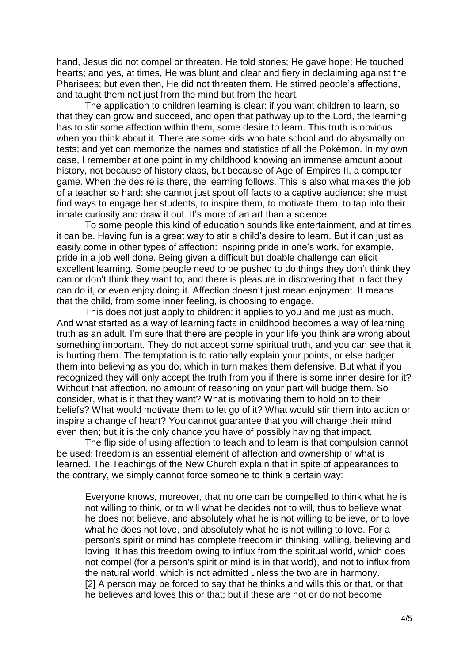hand, Jesus did not compel or threaten. He told stories; He gave hope; He touched hearts; and yes, at times, He was blunt and clear and fiery in declaiming against the Pharisees; but even then, He did not threaten them. He stirred people's affections, and taught them not just from the mind but from the heart.

The application to children learning is clear: if you want children to learn, so that they can grow and succeed, and open that pathway up to the Lord, the learning has to stir some affection within them, some desire to learn. This truth is obvious when you think about it. There are some kids who hate school and do abysmally on tests; and yet can memorize the names and statistics of all the Pokémon. In my own case, I remember at one point in my childhood knowing an immense amount about history, not because of history class, but because of Age of Empires II, a computer game. When the desire is there, the learning follows. This is also what makes the job of a teacher so hard: she cannot just spout off facts to a captive audience: she must find ways to engage her students, to inspire them, to motivate them, to tap into their innate curiosity and draw it out. It's more of an art than a science.

To some people this kind of education sounds like entertainment, and at times it can be. Having fun is a great way to stir a child's desire to learn. But it can just as easily come in other types of affection: inspiring pride in one's work, for example, pride in a job well done. Being given a difficult but doable challenge can elicit excellent learning. Some people need to be pushed to do things they don't think they can or don't think they want to, and there is pleasure in discovering that in fact they can do it, or even enjoy doing it. Affection doesn't just mean enjoyment. It means that the child, from some inner feeling, is choosing to engage.

This does not just apply to children: it applies to you and me just as much. And what started as a way of learning facts in childhood becomes a way of learning truth as an adult. I'm sure that there are people in your life you think are wrong about something important. They do not accept some spiritual truth, and you can see that it is hurting them. The temptation is to rationally explain your points, or else badger them into believing as you do, which in turn makes them defensive. But what if you recognized they will only accept the truth from you if there is some inner desire for it? Without that affection, no amount of reasoning on your part will budge them. So consider, what is it that they want? What is motivating them to hold on to their beliefs? What would motivate them to let go of it? What would stir them into action or inspire a change of heart? You cannot guarantee that you will change their mind even then; but it is the only chance you have of possibly having that impact.

The flip side of using affection to teach and to learn is that compulsion cannot be used: freedom is an essential element of affection and ownership of what is learned. The Teachings of the New Church explain that in spite of appearances to the contrary, we simply cannot force someone to think a certain way:

Everyone knows, moreover, that no one can be compelled to think what he is not willing to think, or to will what he decides not to will, thus to believe what he does not believe, and absolutely what he is not willing to believe, or to love what he does not love, and absolutely what he is not willing to love. For a person's spirit or mind has complete freedom in thinking, willing, believing and loving. It has this freedom owing to influx from the spiritual world, which does not compel (for a person's spirit or mind is in that world), and not to influx from the natural world, which is not admitted unless the two are in harmony. [2] A person may be forced to say that he thinks and wills this or that, or that he believes and loves this or that; but if these are not or do not become